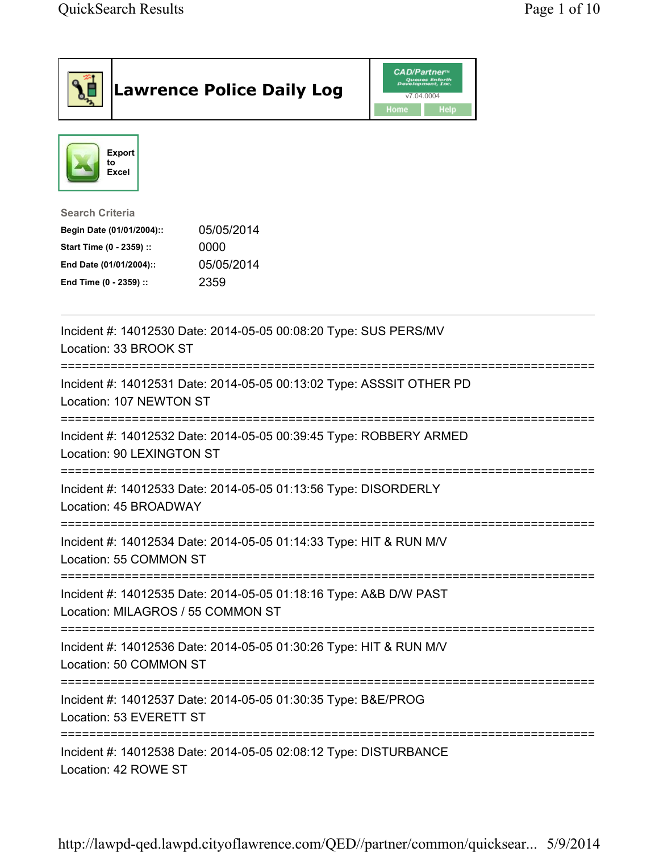| <b>Lawrence Police Daily Log</b>                                                                                                                                                 | <b>CAD/Partner</b> ®<br>Queues Enforth<br>Development, Inc.<br>v7.04.0004<br>Home<br><b>Help</b> |
|----------------------------------------------------------------------------------------------------------------------------------------------------------------------------------|--------------------------------------------------------------------------------------------------|
| <b>Export</b><br>to<br>Excel                                                                                                                                                     |                                                                                                  |
| <b>Search Criteria</b><br>05/05/2014<br>Begin Date (01/01/2004)::<br>0000<br>Start Time (0 - 2359) ::<br>05/05/2014<br>End Date (01/01/2004)::<br>2359<br>End Time (0 - 2359) :: |                                                                                                  |
| Incident #: 14012530 Date: 2014-05-05 00:08:20 Type: SUS PERS/MV<br>Location: 33 BROOK ST                                                                                        |                                                                                                  |
| Incident #: 14012531 Date: 2014-05-05 00:13:02 Type: ASSSIT OTHER PD<br>Location: 107 NEWTON ST                                                                                  |                                                                                                  |
| Incident #: 14012532 Date: 2014-05-05 00:39:45 Type: ROBBERY ARMED<br>Location: 90 LEXINGTON ST                                                                                  |                                                                                                  |
| Incident #: 14012533 Date: 2014-05-05 01:13:56 Type: DISORDERLY<br>Location: 45 BROADWAY                                                                                         |                                                                                                  |
| Incident #: 14012534 Date: 2014-05-05 01:14:33 Type: HIT & RUN M/V<br>Location: 55 COMMON ST                                                                                     |                                                                                                  |
| Incident #: 14012535 Date: 2014-05-05 01:18:16 Type: A&B D/W PAST<br>Location: MILAGROS / 55 COMMON ST                                                                           |                                                                                                  |
| Incident #: 14012536 Date: 2014-05-05 01:30:26 Type: HIT & RUN M/V<br>Location: 50 COMMON ST                                                                                     |                                                                                                  |
| Incident #: 14012537 Date: 2014-05-05 01:30:35 Type: B&E/PROG<br>Location: 53 EVERETT ST                                                                                         |                                                                                                  |
| Incident #: 14012538 Date: 2014-05-05 02:08:12 Type: DISTURBANCE<br>Location: 42 ROWE ST                                                                                         |                                                                                                  |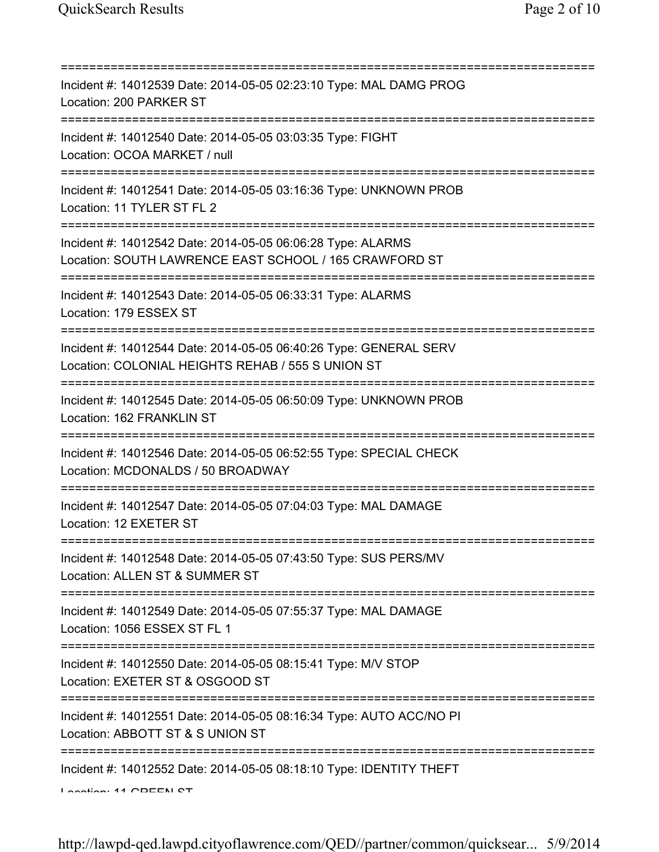| Incident #: 14012539 Date: 2014-05-05 02:23:10 Type: MAL DAMG PROG<br>Location: 200 PARKER ST                                             |
|-------------------------------------------------------------------------------------------------------------------------------------------|
| Incident #: 14012540 Date: 2014-05-05 03:03:35 Type: FIGHT<br>Location: OCOA MARKET / null<br>======================                      |
| Incident #: 14012541 Date: 2014-05-05 03:16:36 Type: UNKNOWN PROB<br>Location: 11 TYLER ST FL 2                                           |
| Incident #: 14012542 Date: 2014-05-05 06:06:28 Type: ALARMS<br>Location: SOUTH LAWRENCE EAST SCHOOL / 165 CRAWFORD ST                     |
| Incident #: 14012543 Date: 2014-05-05 06:33:31 Type: ALARMS<br>Location: 179 ESSEX ST                                                     |
| Incident #: 14012544 Date: 2014-05-05 06:40:26 Type: GENERAL SERV<br>Location: COLONIAL HEIGHTS REHAB / 555 S UNION ST<br>=============== |
| Incident #: 14012545 Date: 2014-05-05 06:50:09 Type: UNKNOWN PROB<br>Location: 162 FRANKLIN ST                                            |
| Incident #: 14012546 Date: 2014-05-05 06:52:55 Type: SPECIAL CHECK<br>Location: MCDONALDS / 50 BROADWAY                                   |
| Incident #: 14012547 Date: 2014-05-05 07:04:03 Type: MAL DAMAGE<br>Location: 12 EXETER ST                                                 |
| Incident #: 14012548 Date: 2014-05-05 07:43:50 Type: SUS PERS/MV<br>Location: ALLEN ST & SUMMER ST                                        |
| Incident #: 14012549 Date: 2014-05-05 07:55:37 Type: MAL DAMAGE<br>Location: 1056 ESSEX ST FL 1                                           |
| Incident #: 14012550 Date: 2014-05-05 08:15:41 Type: M/V STOP<br>Location: EXETER ST & OSGOOD ST                                          |
| Incident #: 14012551 Date: 2014-05-05 08:16:34 Type: AUTO ACC/NO PI<br>Location: ABBOTT ST & S UNION ST                                   |
| ===========<br>Incident #: 14012552 Date: 2014-05-05 08:18:10 Type: IDENTITY THEFT<br>Longian: 44 CDEEN CT                                |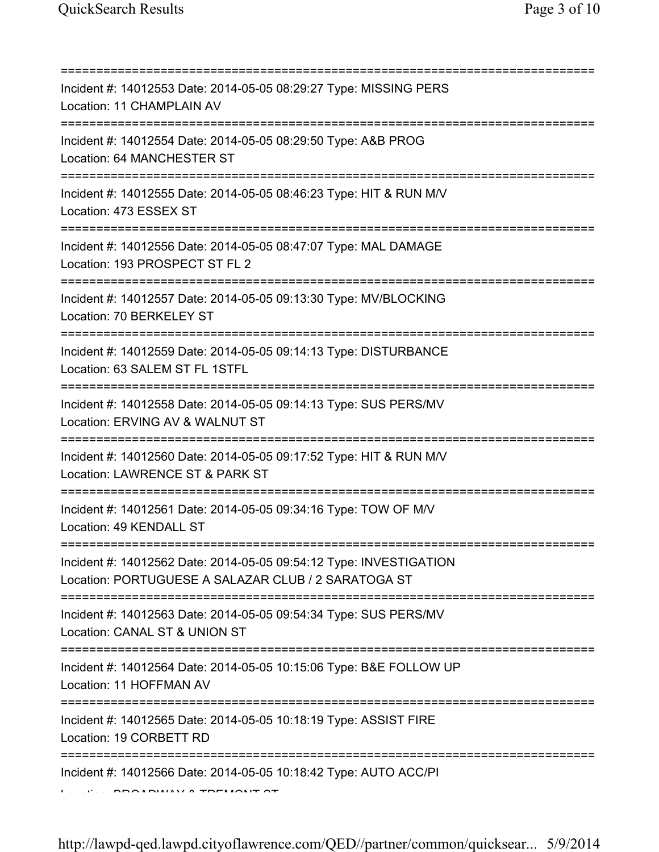| Incident #: 14012553 Date: 2014-05-05 08:29:27 Type: MISSING PERS<br>Location: 11 CHAMPLAIN AV                                      |
|-------------------------------------------------------------------------------------------------------------------------------------|
| Incident #: 14012554 Date: 2014-05-05 08:29:50 Type: A&B PROG<br>Location: 64 MANCHESTER ST<br>==================================== |
| Incident #: 14012555 Date: 2014-05-05 08:46:23 Type: HIT & RUN M/V<br>Location: 473 ESSEX ST<br>==============================      |
| Incident #: 14012556 Date: 2014-05-05 08:47:07 Type: MAL DAMAGE<br>Location: 193 PROSPECT ST FL 2                                   |
| Incident #: 14012557 Date: 2014-05-05 09:13:30 Type: MV/BLOCKING<br>Location: 70 BERKELEY ST                                        |
| Incident #: 14012559 Date: 2014-05-05 09:14:13 Type: DISTURBANCE<br>Location: 63 SALEM ST FL 1STFL                                  |
| Incident #: 14012558 Date: 2014-05-05 09:14:13 Type: SUS PERS/MV<br>Location: ERVING AV & WALNUT ST                                 |
| Incident #: 14012560 Date: 2014-05-05 09:17:52 Type: HIT & RUN M/V<br>Location: LAWRENCE ST & PARK ST                               |
| Incident #: 14012561 Date: 2014-05-05 09:34:16 Type: TOW OF M/V<br>Location: 49 KENDALL ST                                          |
| Incident #: 14012562 Date: 2014-05-05 09:54:12 Type: INVESTIGATION<br>Location: PORTUGUESE A SALAZAR CLUB / 2 SARATOGA ST           |
| Incident #: 14012563 Date: 2014-05-05 09:54:34 Type: SUS PERS/MV<br>Location: CANAL ST & UNION ST                                   |
| Incident #: 14012564 Date: 2014-05-05 10:15:06 Type: B&E FOLLOW UP<br>Location: 11 HOFFMAN AV                                       |
| Incident #: 14012565 Date: 2014-05-05 10:18:19 Type: ASSIST FIRE<br>Location: 19 CORBETT RD                                         |
| Incident #: 14012566 Date: 2014-05-05 10:18:42 Type: AUTO ACC/PI                                                                    |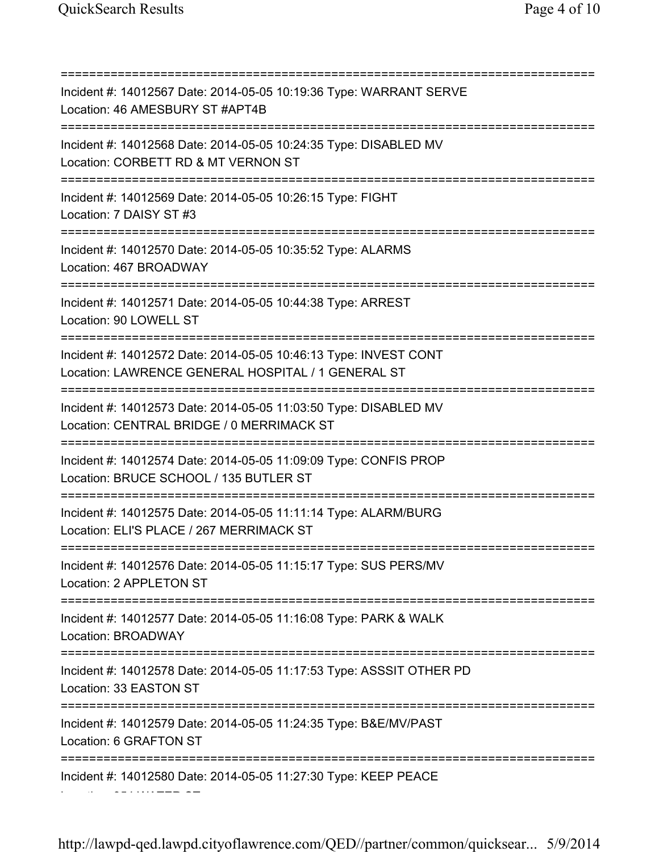Location: 354 WATER ST

=========================================================================== Incident #: 14012567 Date: 2014-05-05 10:19:36 Type: WARRANT SERVE Location: 46 AMESBURY ST #APT4B =========================================================================== Incident #: 14012568 Date: 2014-05-05 10:24:35 Type: DISABLED MV Location: CORBETT RD & MT VERNON ST =========================================================================== Incident #: 14012569 Date: 2014-05-05 10:26:15 Type: FIGHT Location: 7 DAISY ST #3 =========================================================================== Incident #: 14012570 Date: 2014-05-05 10:35:52 Type: ALARMS Location: 467 BROADWAY =========================================================================== Incident #: 14012571 Date: 2014-05-05 10:44:38 Type: ARREST Location: 90 LOWELL ST =========================================================================== Incident #: 14012572 Date: 2014-05-05 10:46:13 Type: INVEST CONT Location: LAWRENCE GENERAL HOSPITAL / 1 GENERAL ST =========================================================================== Incident #: 14012573 Date: 2014-05-05 11:03:50 Type: DISABLED MV Location: CENTRAL BRIDGE / 0 MERRIMACK ST =========================================================================== Incident #: 14012574 Date: 2014-05-05 11:09:09 Type: CONFIS PROP Location: BRUCE SCHOOL / 135 BUTLER ST =========================================================================== Incident #: 14012575 Date: 2014-05-05 11:11:14 Type: ALARM/BURG Location: ELI'S PLACE / 267 MERRIMACK ST =========================================================================== Incident #: 14012576 Date: 2014-05-05 11:15:17 Type: SUS PERS/MV Location: 2 APPLETON ST =========================================================================== Incident #: 14012577 Date: 2014-05-05 11:16:08 Type: PARK & WALK Location: BROADWAY =========================================================================== Incident #: 14012578 Date: 2014-05-05 11:17:53 Type: ASSSIT OTHER PD Location: 33 EASTON ST =========================================================================== Incident #: 14012579 Date: 2014-05-05 11:24:35 Type: B&E/MV/PAST Location: 6 GRAFTON ST =========================================================================== Incident #: 14012580 Date: 2014-05-05 11:27:30 Type: KEEP PEACE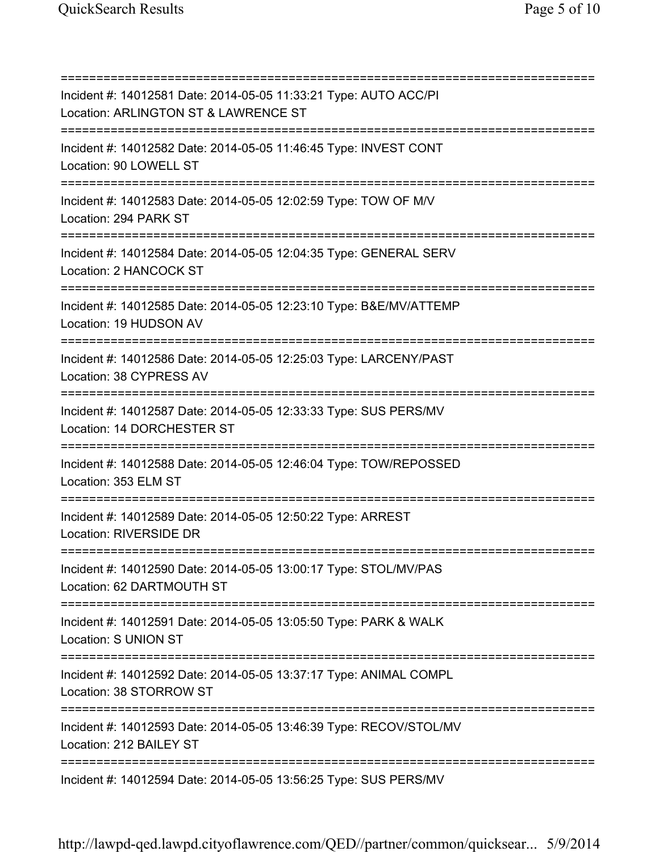=========================================================================== Incident #: 14012581 Date: 2014-05-05 11:33:21 Type: AUTO ACC/PI Location: ARLINGTON ST & LAWRENCE ST =========================================================================== Incident #: 14012582 Date: 2014-05-05 11:46:45 Type: INVEST CONT Location: 90 LOWELL ST =========================================================================== Incident #: 14012583 Date: 2014-05-05 12:02:59 Type: TOW OF M/V Location: 294 PARK ST =========================================================================== Incident #: 14012584 Date: 2014-05-05 12:04:35 Type: GENERAL SERV Location: 2 HANCOCK ST =========================================================================== Incident #: 14012585 Date: 2014-05-05 12:23:10 Type: B&E/MV/ATTEMP Location: 19 HUDSON AV =========================================================================== Incident #: 14012586 Date: 2014-05-05 12:25:03 Type: LARCENY/PAST Location: 38 CYPRESS AV =========================================================================== Incident #: 14012587 Date: 2014-05-05 12:33:33 Type: SUS PERS/MV Location: 14 DORCHESTER ST =========================================================================== Incident #: 14012588 Date: 2014-05-05 12:46:04 Type: TOW/REPOSSED Location: 353 ELM ST =========================================================================== Incident #: 14012589 Date: 2014-05-05 12:50:22 Type: ARREST Location: RIVERSIDE DR =========================================================================== Incident #: 14012590 Date: 2014-05-05 13:00:17 Type: STOL/MV/PAS Location: 62 DARTMOUTH ST =========================================================================== Incident #: 14012591 Date: 2014-05-05 13:05:50 Type: PARK & WALK Location: S UNION ST =========================================================================== Incident #: 14012592 Date: 2014-05-05 13:37:17 Type: ANIMAL COMPL Location: 38 STORROW ST =========================================================================== Incident #: 14012593 Date: 2014-05-05 13:46:39 Type: RECOV/STOL/MV Location: 212 BAILEY ST =========================================================================== Incident #: 14012594 Date: 2014-05-05 13:56:25 Type: SUS PERS/MV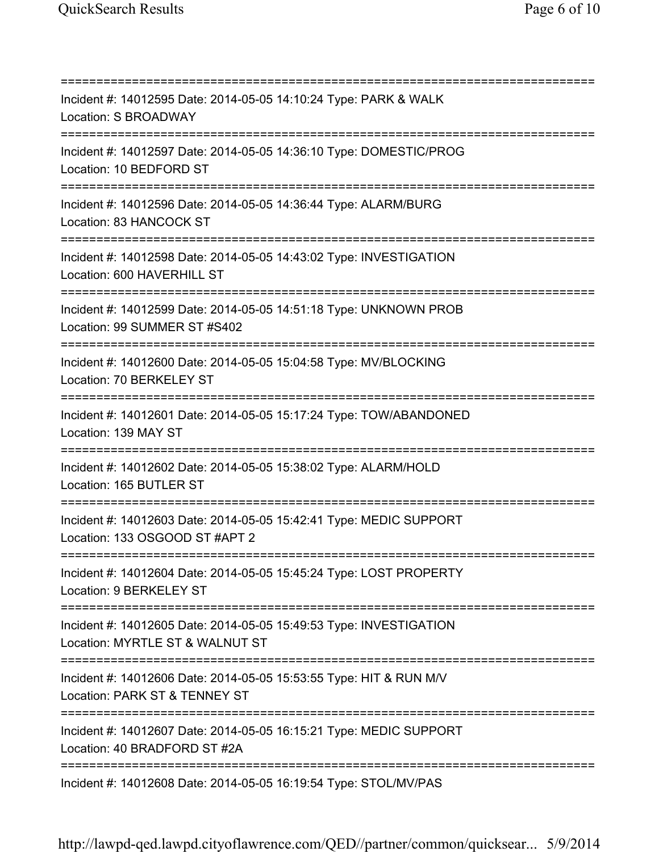=========================================================================== Incident #: 14012595 Date: 2014-05-05 14:10:24 Type: PARK & WALK Location: S BROADWAY =========================================================================== Incident #: 14012597 Date: 2014-05-05 14:36:10 Type: DOMESTIC/PROG Location: 10 BEDFORD ST =========================================================================== Incident #: 14012596 Date: 2014-05-05 14:36:44 Type: ALARM/BURG Location: 83 HANCOCK ST =========================================================================== Incident #: 14012598 Date: 2014-05-05 14:43:02 Type: INVESTIGATION Location: 600 HAVERHILL ST =========================================================================== Incident #: 14012599 Date: 2014-05-05 14:51:18 Type: UNKNOWN PROB Location: 99 SUMMER ST #S402 =========================================================================== Incident #: 14012600 Date: 2014-05-05 15:04:58 Type: MV/BLOCKING Location: 70 BERKELEY ST =========================================================================== Incident #: 14012601 Date: 2014-05-05 15:17:24 Type: TOW/ABANDONED Location: 139 MAY ST =========================================================================== Incident #: 14012602 Date: 2014-05-05 15:38:02 Type: ALARM/HOLD Location: 165 BUTLER ST =========================================================================== Incident #: 14012603 Date: 2014-05-05 15:42:41 Type: MEDIC SUPPORT Location: 133 OSGOOD ST #APT 2 =========================================================================== Incident #: 14012604 Date: 2014-05-05 15:45:24 Type: LOST PROPERTY Location: 9 BERKELEY ST =========================================================================== Incident #: 14012605 Date: 2014-05-05 15:49:53 Type: INVESTIGATION Location: MYRTLE ST & WALNUT ST =========================================================================== Incident #: 14012606 Date: 2014-05-05 15:53:55 Type: HIT & RUN M/V Location: PARK ST & TENNEY ST =========================================================================== Incident #: 14012607 Date: 2014-05-05 16:15:21 Type: MEDIC SUPPORT Location: 40 BRADFORD ST #2A =========================================================================== Incident #: 14012608 Date: 2014-05-05 16:19:54 Type: STOL/MV/PAS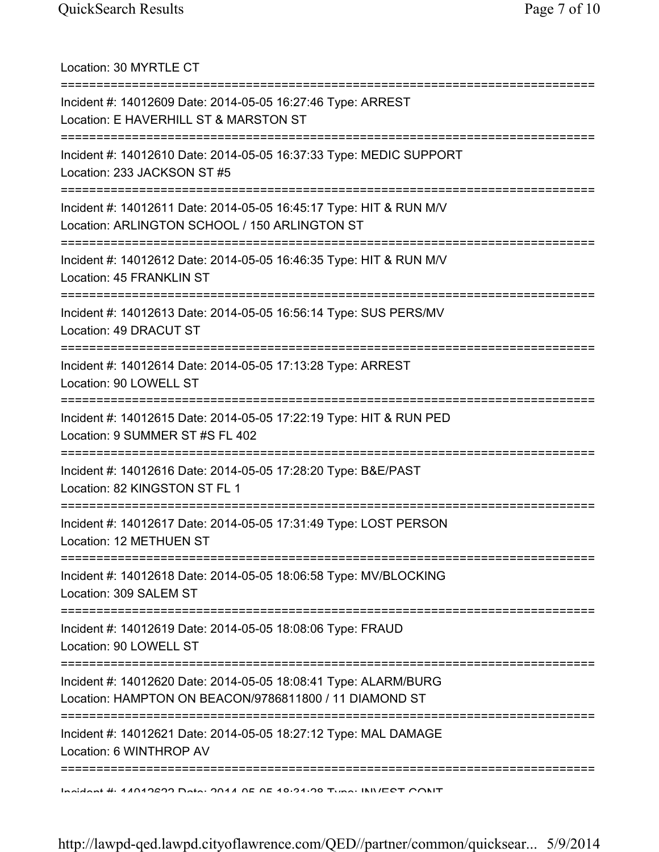Location: 30 MYRTLE CT =========================================================================== Incident #: 14012609 Date: 2014-05-05 16:27:46 Type: ARREST Location: E HAVERHILL ST & MARSTON ST =========================================================================== Incident #: 14012610 Date: 2014-05-05 16:37:33 Type: MEDIC SUPPORT Location: 233 JACKSON ST #5 =========================================================================== Incident #: 14012611 Date: 2014-05-05 16:45:17 Type: HIT & RUN M/V Location: ARLINGTON SCHOOL / 150 ARLINGTON ST =========================================================================== Incident #: 14012612 Date: 2014-05-05 16:46:35 Type: HIT & RUN M/V Location: 45 FRANKLIN ST =========================================================================== Incident #: 14012613 Date: 2014-05-05 16:56:14 Type: SUS PERS/MV Location: 49 DRACUT ST =========================================================================== Incident #: 14012614 Date: 2014-05-05 17:13:28 Type: ARREST Location: 90 LOWELL ST =========================================================================== Incident #: 14012615 Date: 2014-05-05 17:22:19 Type: HIT & RUN PED Location: 9 SUMMER ST #S FL 402 =========================================================================== Incident #: 14012616 Date: 2014-05-05 17:28:20 Type: B&E/PAST Location: 82 KINGSTON ST FL 1 =========================================================================== Incident #: 14012617 Date: 2014-05-05 17:31:49 Type: LOST PERSON Location: 12 METHUEN ST =========================================================================== Incident #: 14012618 Date: 2014-05-05 18:06:58 Type: MV/BLOCKING Location: 309 SALEM ST =========================================================================== Incident #: 14012619 Date: 2014-05-05 18:08:06 Type: FRAUD Location: 90 LOWELL ST =========================================================================== Incident #: 14012620 Date: 2014-05-05 18:08:41 Type: ALARM/BURG Location: HAMPTON ON BEACON/9786811800 / 11 DIAMOND ST =========================================================================== Incident #: 14012621 Date: 2014-05-05 18:27:12 Type: MAL DAMAGE Location: 6 WINTHROP AV =========================================================================== Incident #: 14012622 Date: 2014 05 05 18:31:28 Type: INVEST CONT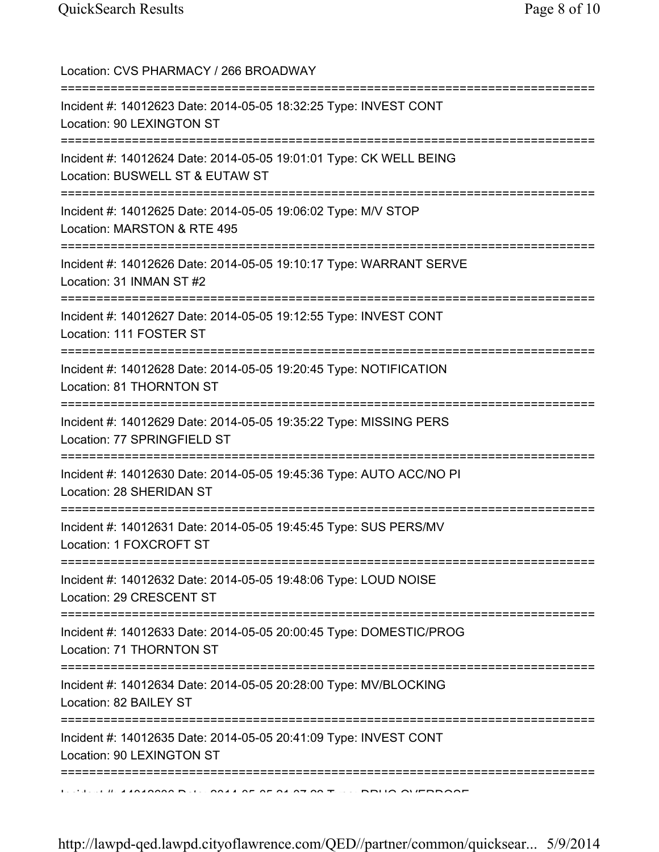| Location: CVS PHARMACY / 266 BROADWAY                                                                                            |
|----------------------------------------------------------------------------------------------------------------------------------|
| ;==============================<br>Incident #: 14012623 Date: 2014-05-05 18:32:25 Type: INVEST CONT<br>Location: 90 LEXINGTON ST |
| Incident #: 14012624 Date: 2014-05-05 19:01:01 Type: CK WELL BEING<br>Location: BUSWELL ST & EUTAW ST                            |
| Incident #: 14012625 Date: 2014-05-05 19:06:02 Type: M/V STOP<br>Location: MARSTON & RTE 495                                     |
| Incident #: 14012626 Date: 2014-05-05 19:10:17 Type: WARRANT SERVE<br>Location: 31 INMAN ST #2                                   |
| Incident #: 14012627 Date: 2014-05-05 19:12:55 Type: INVEST CONT<br>Location: 111 FOSTER ST                                      |
| ---------------------------<br>Incident #: 14012628 Date: 2014-05-05 19:20:45 Type: NOTIFICATION<br>Location: 81 THORNTON ST     |
| Incident #: 14012629 Date: 2014-05-05 19:35:22 Type: MISSING PERS<br>Location: 77 SPRINGFIELD ST                                 |
| Incident #: 14012630 Date: 2014-05-05 19:45:36 Type: AUTO ACC/NO PI<br>Location: 28 SHERIDAN ST                                  |
| Incident #: 14012631 Date: 2014-05-05 19:45:45 Type: SUS PERS/MV<br>Location: 1 FOXCROFT ST                                      |
| Incident #: 14012632 Date: 2014-05-05 19:48:06 Type: LOUD NOISE<br>Location: 29 CRESCENT ST                                      |
| Incident #: 14012633 Date: 2014-05-05 20:00:45 Type: DOMESTIC/PROG<br>Location: 71 THORNTON ST                                   |
| =============<br>Incident #: 14012634 Date: 2014-05-05 20:28:00 Type: MV/BLOCKING<br>Location: 82 BAILEY ST                      |
| Incident #: 14012635 Date: 2014-05-05 20:41:09 Type: INVEST CONT<br>Location: 90 LEXINGTON ST                                    |
| ===============                                                                                                                  |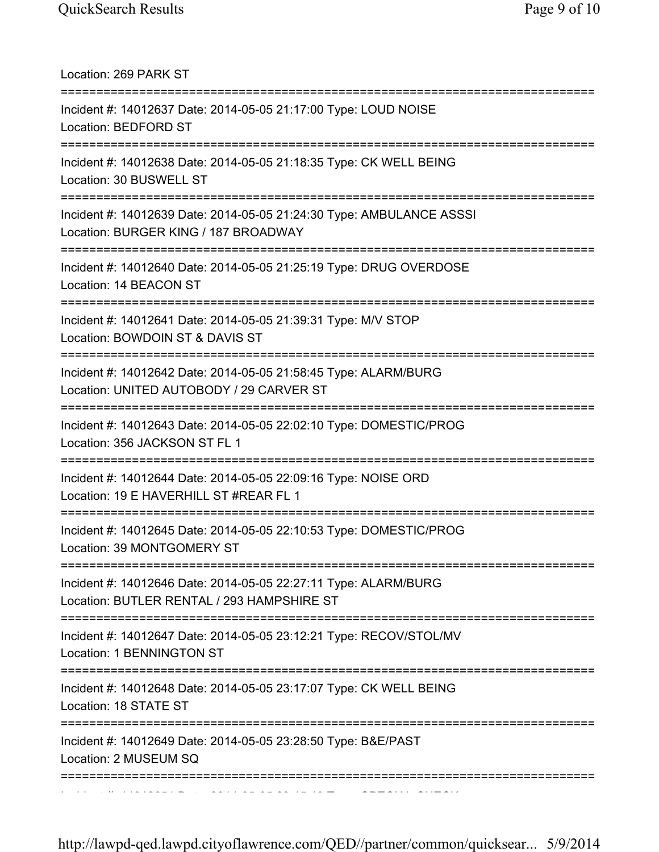| Location: 269 PARK ST                                                                                                                  |
|----------------------------------------------------------------------------------------------------------------------------------------|
| Incident #: 14012637 Date: 2014-05-05 21:17:00 Type: LOUD NOISE<br>Location: BEDFORD ST                                                |
| Incident #: 14012638 Date: 2014-05-05 21:18:35 Type: CK WELL BEING<br>Location: 30 BUSWELL ST                                          |
| Incident #: 14012639 Date: 2014-05-05 21:24:30 Type: AMBULANCE ASSSI<br>Location: BURGER KING / 187 BROADWAY                           |
| Incident #: 14012640 Date: 2014-05-05 21:25:19 Type: DRUG OVERDOSE<br>Location: 14 BEACON ST                                           |
| Incident #: 14012641 Date: 2014-05-05 21:39:31 Type: M/V STOP<br>Location: BOWDOIN ST & DAVIS ST                                       |
| Incident #: 14012642 Date: 2014-05-05 21:58:45 Type: ALARM/BURG<br>Location: UNITED AUTOBODY / 29 CARVER ST                            |
| Incident #: 14012643 Date: 2014-05-05 22:02:10 Type: DOMESTIC/PROG<br>Location: 356 JACKSON ST FL 1                                    |
| Incident #: 14012644 Date: 2014-05-05 22:09:16 Type: NOISE ORD<br>Location: 19 E HAVERHILL ST #REAR FL 1<br>========================== |
| Incident #: 14012645 Date: 2014-05-05 22:10:53 Type: DOMESTIC/PROG<br>Location: 39 MONTGOMERY ST                                       |
| Incident #: 14012646 Date: 2014-05-05 22:27:11 Type: ALARM/BURG<br>Location: BUTLER RENTAL / 293 HAMPSHIRE ST                          |
| Incident #: 14012647 Date: 2014-05-05 23:12:21 Type: RECOV/STOL/MV<br>Location: 1 BENNINGTON ST                                        |
| Incident #: 14012648 Date: 2014-05-05 23:17:07 Type: CK WELL BEING<br>Location: 18 STATE ST                                            |
| Incident #: 14012649 Date: 2014-05-05 23:28:50 Type: B&E/PAST<br>Location: 2 MUSEUM SQ                                                 |
|                                                                                                                                        |